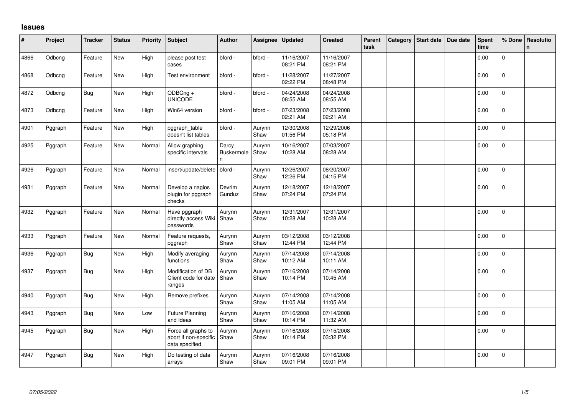## **Issues**

| #    | Project | <b>Tracker</b> | <b>Status</b> | <b>Priority</b> | <b>Subject</b>                                                 | <b>Author</b>                   | Assignee       | <b>Updated</b>         | <b>Created</b>         | Parent<br>task | Category | <b>Start date</b> | Due date | <b>Spent</b><br>time | % Done         | Resolutio<br>n. |
|------|---------|----------------|---------------|-----------------|----------------------------------------------------------------|---------------------------------|----------------|------------------------|------------------------|----------------|----------|-------------------|----------|----------------------|----------------|-----------------|
| 4866 | Odbcng  | Feature        | New           | High            | please post test<br>cases                                      | bford -                         | bford -        | 11/16/2007<br>08:21 PM | 11/16/2007<br>08:21 PM |                |          |                   |          | 0.00                 | 0              |                 |
| 4868 | Odbcng  | Feature        | New           | High            | Test environment                                               | bford -                         | bford -        | 11/28/2007<br>02:22 PM | 11/27/2007<br>08:48 PM |                |          |                   |          | 0.00                 | $\Omega$       |                 |
| 4872 | Odbcng  | <b>Bug</b>     | New           | High            | ODBCng +<br><b>UNICODE</b>                                     | bford -                         | bford -        | 04/24/2008<br>08:55 AM | 04/24/2008<br>08:55 AM |                |          |                   |          | 0.00                 | $\overline{0}$ |                 |
| 4873 | Odbcng  | Feature        | New           | High            | Win64 version                                                  | bford -                         | bford -        | 07/23/2008<br>02:21 AM | 07/23/2008<br>02:21 AM |                |          |                   |          | 0.00                 | $\overline{0}$ |                 |
| 4901 | Pggraph | Feature        | New           | High            | pggraph_table<br>doesn't list tables                           | bford -                         | Aurynn<br>Shaw | 12/30/2008<br>01:56 PM | 12/29/2006<br>05:18 PM |                |          |                   |          | 0.00                 | 0              |                 |
| 4925 | Pggraph | Feature        | New           | Normal          | Allow graphing<br>specific intervals                           | Darcy<br><b>Buskermole</b><br>n | Aurynn<br>Shaw | 10/16/2007<br>10:28 AM | 07/03/2007<br>08:28 AM |                |          |                   |          | 0.00                 | $\Omega$       |                 |
| 4926 | Pggraph | Feature        | New           | Normal          | insert/update/delete                                           | bford -                         | Aurynn<br>Shaw | 12/26/2007<br>12:26 PM | 08/20/2007<br>04:15 PM |                |          |                   |          | 0.00                 | 0              |                 |
| 4931 | Pggraph | Feature        | New           | Normal          | Develop a nagios<br>plugin for pggraph<br>checks               | Devrim<br>Gunduz                | Aurynn<br>Shaw | 12/18/2007<br>07:24 PM | 12/18/2007<br>07:24 PM |                |          |                   |          | 0.00                 | 0              |                 |
| 4932 | Pggraph | Feature        | New           | Normal          | Have pggraph<br>directly access Wiki Shaw<br>passwords         | Aurynn                          | Aurynn<br>Shaw | 12/31/2007<br>10:28 AM | 12/31/2007<br>10:28 AM |                |          |                   |          | 0.00                 | $\overline{0}$ |                 |
| 4933 | Pggraph | Feature        | New           | Normal          | Feature requests,<br>pggraph                                   | Aurynn<br>Shaw                  | Aurynn<br>Shaw | 03/12/2008<br>12:44 PM | 03/12/2008<br>12:44 PM |                |          |                   |          | 0.00                 | $\mathbf 0$    |                 |
| 4936 | Pggraph | Bug            | New           | High            | Modify averaging<br>functions                                  | Aurynn<br>Shaw                  | Aurynn<br>Shaw | 07/14/2008<br>10:12 AM | 07/14/2008<br>10:11 AM |                |          |                   |          | 0.00                 | $\mathbf 0$    |                 |
| 4937 | Pggraph | <b>Bug</b>     | New           | High            | Modification of DB<br>Client code for date<br>ranges           | Aurynn<br>Shaw                  | Aurynn<br>Shaw | 07/16/2008<br>10:14 PM | 07/14/2008<br>10:45 AM |                |          |                   |          | 0.00                 | $\overline{0}$ |                 |
| 4940 | Pggraph | <b>Bug</b>     | <b>New</b>    | High            | Remove prefixes                                                | Aurynn<br>Shaw                  | Aurynn<br>Shaw | 07/14/2008<br>11:05 AM | 07/14/2008<br>11:05 AM |                |          |                   |          | 0.00                 | $\Omega$       |                 |
| 4943 | Pggraph | <b>Bug</b>     | <b>New</b>    | Low             | <b>Future Planning</b><br>and Ideas                            | Aurynn<br>Shaw                  | Aurynn<br>Shaw | 07/16/2008<br>10:14 PM | 07/14/2008<br>11:32 AM |                |          |                   |          | 0.00                 | $\Omega$       |                 |
| 4945 | Pggraph | <b>Bug</b>     | <b>New</b>    | High            | Force all graphs to<br>abort if non-specific<br>data specified | Aurynn<br>Shaw                  | Aurynn<br>Shaw | 07/16/2008<br>10:14 PM | 07/15/2008<br>03:32 PM |                |          |                   |          | 0.00                 | $\Omega$       |                 |
| 4947 | Pggraph | <b>Bug</b>     | New           | High            | Do testing of data<br>arrays                                   | Aurynn<br>Shaw                  | Aurynn<br>Shaw | 07/16/2008<br>09:01 PM | 07/16/2008<br>09:01 PM |                |          |                   |          | 0.00                 | $\overline{0}$ |                 |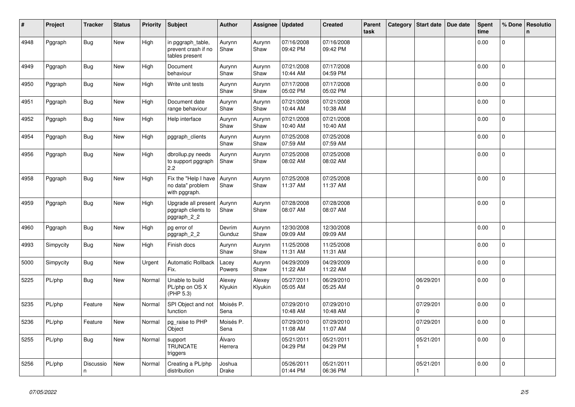| #    | Project   | <b>Tracker</b> | <b>Status</b> | <b>Priority</b> | Subject                                                    | <b>Author</b>     | Assignee          | <b>Updated</b>         | <b>Created</b>         | <b>Parent</b><br>task | Category | Start date               | Due date | <b>Spent</b><br>time | % Done         | Resolutio<br>$\mathsf{n}$ |
|------|-----------|----------------|---------------|-----------------|------------------------------------------------------------|-------------------|-------------------|------------------------|------------------------|-----------------------|----------|--------------------------|----------|----------------------|----------------|---------------------------|
| 4948 | Pggraph   | <b>Bug</b>     | New           | High            | in pggraph_table,<br>prevent crash if no<br>tables present | Aurynn<br>Shaw    | Aurynn<br>Shaw    | 07/16/2008<br>09:42 PM | 07/16/2008<br>09:42 PM |                       |          |                          |          | 0.00                 | $\mathbf 0$    |                           |
| 4949 | Pggraph   | <b>Bug</b>     | New           | High            | Document<br>behaviour                                      | Aurynn<br>Shaw    | Aurynn<br>Shaw    | 07/21/2008<br>10:44 AM | 07/17/2008<br>04:59 PM |                       |          |                          |          | 0.00                 | 0              |                           |
| 4950 | Pggraph   | Bug            | New           | High            | Write unit tests                                           | Aurynn<br>Shaw    | Aurynn<br>Shaw    | 07/17/2008<br>05:02 PM | 07/17/2008<br>05:02 PM |                       |          |                          |          | 0.00                 | $\mathbf 0$    |                           |
| 4951 | Pggraph   | <b>Bug</b>     | New           | High            | Document date<br>range behaviour                           | Aurynn<br>Shaw    | Aurynn<br>Shaw    | 07/21/2008<br>10:44 AM | 07/21/2008<br>10:38 AM |                       |          |                          |          | 0.00                 | $\mathbf 0$    |                           |
| 4952 | Pggraph   | <b>Bug</b>     | New           | High            | Help interface                                             | Aurynn<br>Shaw    | Aurynn<br>Shaw    | 07/21/2008<br>10:40 AM | 07/21/2008<br>10:40 AM |                       |          |                          |          | 0.00                 | 0              |                           |
| 4954 | Pggraph   | <b>Bug</b>     | New           | High            | pggraph clients                                            | Aurynn<br>Shaw    | Aurynn<br>Shaw    | 07/25/2008<br>07:59 AM | 07/25/2008<br>07:59 AM |                       |          |                          |          | 0.00                 | $\pmb{0}$      |                           |
| 4956 | Pggraph   | <b>Bug</b>     | New           | High            | dbrollup.py needs<br>to support pggraph<br>2.2             | Aurynn<br>Shaw    | Aurynn<br>Shaw    | 07/25/2008<br>08:02 AM | 07/25/2008<br>08:02 AM |                       |          |                          |          | 0.00                 | 0              |                           |
| 4958 | Pggraph   | Bug            | New           | High            | Fix the "Help I have<br>no data" problem<br>with pggraph.  | Aurynn<br>Shaw    | Aurynn<br>Shaw    | 07/25/2008<br>11:37 AM | 07/25/2008<br>11:37 AM |                       |          |                          |          | 0.00                 | $\pmb{0}$      |                           |
| 4959 | Pggraph   | <b>Bug</b>     | <b>New</b>    | High            | Upgrade all present<br>pggraph clients to<br>pggraph_2_2   | Aurynn<br>Shaw    | Aurynn<br>Shaw    | 07/28/2008<br>08:07 AM | 07/28/2008<br>08:07 AM |                       |          |                          |          | 0.00                 | $\mathbf 0$    |                           |
| 4960 | Pggraph   | <b>Bug</b>     | New           | High            | pg error of<br>pggraph_2_2                                 | Devrim<br>Gunduz  | Aurynn<br>Shaw    | 12/30/2008<br>09:09 AM | 12/30/2008<br>09:09 AM |                       |          |                          |          | 0.00                 | $\mathbf 0$    |                           |
| 4993 | Simpycity | <b>Bug</b>     | <b>New</b>    | High            | Finish docs                                                | Aurynn<br>Shaw    | Aurynn<br>Shaw    | 11/25/2008<br>11:31 AM | 11/25/2008<br>11:31 AM |                       |          |                          |          | 0.00                 | $\mathbf{0}$   |                           |
| 5000 | Simpycity | <b>Bug</b>     | New           | Urgent          | Automatic Rollback<br>Fix.                                 | Lacey<br>Powers   | Aurynn<br>Shaw    | 04/29/2009<br>11:22 AM | 04/29/2009<br>11:22 AM |                       |          |                          |          | 0.00                 | 0              |                           |
| 5225 | PL/php    | <b>Bug</b>     | New           | Normal          | Unable to build<br>PL/php on OS X<br>(PHP 5.3)             | Alexey<br>Klyukin | Alexey<br>Klyukin | 05/27/2011<br>05:05 AM | 06/29/2010<br>05:25 AM |                       |          | 06/29/201<br>$\Omega$    |          | 0.00                 | $\pmb{0}$      |                           |
| 5235 | PL/php    | Feature        | New           | Normal          | SPI Object and not<br>function                             | Moisés P.<br>Sena |                   | 07/29/2010<br>10:48 AM | 07/29/2010<br>10:48 AM |                       |          | 07/29/201<br>$\mathbf 0$ |          | 0.00                 | $\mathbf 0$    |                           |
| 5236 | PL/php    | Feature        | New           | Normal          | pg_raise to PHP<br>Object                                  | Moisés P.<br>Sena |                   | 07/29/2010<br>11:08 AM | 07/29/2010<br>11:07 AM |                       |          | 07/29/201<br>0           |          | 0.00                 | 0              |                           |
| 5255 | PL/php    | <b>Bug</b>     | New           | Normal          | support<br><b>TRUNCATE</b><br>triggers                     | Álvaro<br>Herrera |                   | 05/21/2011<br>04:29 PM | 05/21/2011<br>04:29 PM |                       |          | 05/21/201                |          | 0.00                 | $\Omega$       |                           |
| 5256 | PL/php    | Discussio<br>n | New           | Normal          | Creating a PL/php<br>distribution                          | Joshua<br>Drake   |                   | 05/26/2011<br>01:44 PM | 05/21/2011<br>06:36 PM |                       |          | 05/21/201                |          | 0.00                 | $\overline{0}$ |                           |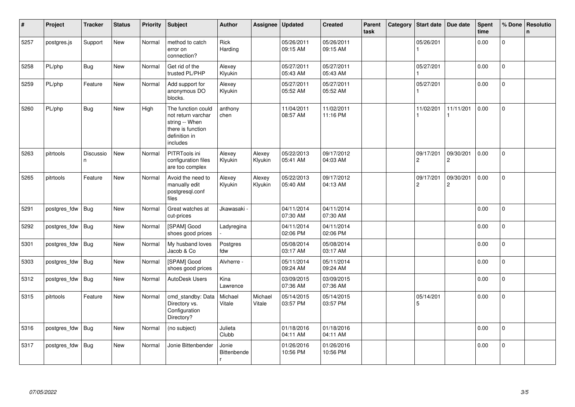| $\vert$ # | Project      | <b>Tracker</b>  | <b>Status</b> | <b>Priority</b> | <b>Subject</b>                                                                                               | <b>Author</b>        | Assignee          | <b>Updated</b>         | <b>Created</b>         | Parent<br>task | Category | <b>Start date</b>           | Due date                    | Spent<br>time | % Done         | Resolutio<br>n. |
|-----------|--------------|-----------------|---------------|-----------------|--------------------------------------------------------------------------------------------------------------|----------------------|-------------------|------------------------|------------------------|----------------|----------|-----------------------------|-----------------------------|---------------|----------------|-----------------|
| 5257      | postgres.js  | Support         | <b>New</b>    | Normal          | method to catch<br>error on<br>connection?                                                                   | Rick<br>Harding      |                   | 05/26/2011<br>09:15 AM | 05/26/2011<br>09:15 AM |                |          | 05/26/201                   |                             | 0.00          | $\overline{0}$ |                 |
| 5258      | PL/php       | <b>Bug</b>      | New           | Normal          | Get rid of the<br>trusted PL/PHP                                                                             | Alexey<br>Klyukin    |                   | 05/27/2011<br>05:43 AM | 05/27/2011<br>05:43 AM |                |          | 05/27/201                   |                             | 0.00          | 0              |                 |
| 5259      | PL/php       | Feature         | New           | Normal          | Add support for<br>anonymous DO<br>blocks.                                                                   | Alexey<br>Klyukin    |                   | 05/27/2011<br>05:52 AM | 05/27/2011<br>05:52 AM |                |          | 05/27/201                   |                             | 0.00          | $\overline{0}$ |                 |
| 5260      | PL/php       | <b>Bug</b>      | New           | High            | The function could<br>not return varchar<br>string -- When<br>there is function<br>definition in<br>includes | anthony<br>chen      |                   | 11/04/2011<br>08:57 AM | 11/02/2011<br>11:16 PM |                |          | 11/02/201                   | 11/11/201                   | 0.00          | $\mathbf 0$    |                 |
| 5263      | pitrtools    | Discussio<br>n. | New           | Normal          | PITRTools ini<br>configuration files<br>are too complex                                                      | Alexey<br>Klyukin    | Alexey<br>Klyukin | 05/22/2013<br>05:41 AM | 09/17/2012<br>04:03 AM |                |          | 09/17/201<br>$\overline{c}$ | 09/30/201<br>$\overline{c}$ | 0.00          | $\Omega$       |                 |
| 5265      | pitrtools    | Feature         | New           | Normal          | Avoid the need to<br>manually edit<br>postgresgl.conf<br>files                                               | Alexey<br>Klyukin    | Alexey<br>Klyukin | 05/22/2013<br>05:40 AM | 09/17/2012<br>04:13 AM |                |          | 09/17/201<br>$\overline{c}$ | 09/30/201<br>$\overline{c}$ | 0.00          | 0              |                 |
| 5291      | postgres fdw | Bug             | <b>New</b>    | Normal          | Great watches at<br>cut-prices                                                                               | Jkawasaki -          |                   | 04/11/2014<br>07:30 AM | 04/11/2014<br>07:30 AM |                |          |                             |                             | 0.00          | $\Omega$       |                 |
| 5292      | postgres fdw | Bug             | New           | Normal          | [SPAM] Good<br>shoes good prices                                                                             | Ladyregina           |                   | 04/11/2014<br>02:06 PM | 04/11/2014<br>02:06 PM |                |          |                             |                             | 0.00          | 0              |                 |
| 5301      | postgres_fdw | <b>Bug</b>      | New           | Normal          | My husband loves<br>Jacob & Co                                                                               | Postgres<br>fdw      |                   | 05/08/2014<br>03:17 AM | 05/08/2014<br>03:17 AM |                |          |                             |                             | 0.00          | $\mathbf 0$    |                 |
| 5303      | postgres_fdw | <b>Bug</b>      | <b>New</b>    | Normal          | [SPAM] Good<br>shoes good prices                                                                             | Alvherre -           |                   | 05/11/2014<br>09:24 AM | 05/11/2014<br>09:24 AM |                |          |                             |                             | 0.00          | $\overline{0}$ |                 |
| 5312      | postgres fdw | Bug             | <b>New</b>    | Normal          | <b>AutoDesk Users</b>                                                                                        | Kina<br>Lawrence     |                   | 03/09/2015<br>07:36 AM | 03/09/2015<br>07:36 AM |                |          |                             |                             | 0.00          | $\overline{0}$ |                 |
| 5315      | pitrtools    | Feature         | New           | Normal          | cmd_standby: Data<br>Directory vs.<br>Configuration<br>Directory?                                            | Michael<br>Vitale    | Michael<br>Vitale | 05/14/2015<br>03:57 PM | 05/14/2015<br>03:57 PM |                |          | 05/14/201<br>5              |                             | 0.00          | $\Omega$       |                 |
| 5316      | postgres fdw | Bug             | <b>New</b>    | Normal          | (no subject)                                                                                                 | Julieta<br>Clubb     |                   | 01/18/2016<br>04:11 AM | 01/18/2016<br>04:11 AM |                |          |                             |                             | 0.00          | $\Omega$       |                 |
| 5317      | postgres_fdw | Bug             | New           | Normal          | Jonie Bittenbender                                                                                           | Jonie<br>Bittenbende |                   | 01/26/2016<br>10:56 PM | 01/26/2016<br>10:56 PM |                |          |                             |                             | 0.00          | 0              |                 |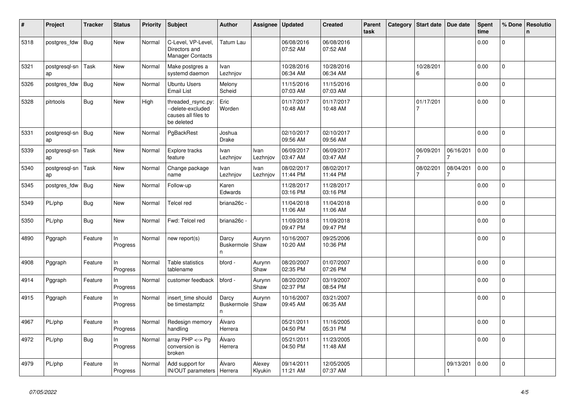| ∦    | Project                   | <b>Tracker</b> | <b>Status</b>  | Priority | <b>Subject</b>                                                               | <b>Author</b>                    | Assignee          | <b>Updated</b>         | <b>Created</b>         | Parent<br>task | Category | <b>Start date</b>           | Due date        | <b>Spent</b><br>time | % Done         | Resolutio<br>$\mathbf n$ |
|------|---------------------------|----------------|----------------|----------|------------------------------------------------------------------------------|----------------------------------|-------------------|------------------------|------------------------|----------------|----------|-----------------------------|-----------------|----------------------|----------------|--------------------------|
| 5318 | postgres fdw              | Bug            | New            | Normal   | C-Level, VP-Level,<br>Directors and<br><b>Manager Contacts</b>               | Tatum Lau                        |                   | 06/08/2016<br>07:52 AM | 06/08/2016<br>07:52 AM |                |          |                             |                 | 0.00                 | 0              |                          |
| 5321 | postgresgl-sn<br>ap       | Task           | <b>New</b>     | Normal   | Make postgres a<br>systemd daemon                                            | Ivan<br>Lezhnjov                 |                   | 10/28/2016<br>06:34 AM | 10/28/2016<br>06:34 AM |                |          | 10/28/201<br>6              |                 | 0.00                 | 0              |                          |
| 5326 | postgres fdw              | Bug            | New            | Normal   | <b>Ubuntu Users</b><br><b>Email List</b>                                     | Melony<br>Scheid                 |                   | 11/15/2016<br>07:03 AM | 11/15/2016<br>07:03 AM |                |          |                             |                 | 0.00                 | 0              |                          |
| 5328 | pitrtools                 | <b>Bug</b>     | New            | High     | threaded_rsync.py:<br>--delete-excluded<br>causes all files to<br>be deleted | Eric<br>Worden                   |                   | 01/17/2017<br>10:48 AM | 01/17/2017<br>10:48 AM |                |          | 01/17/201                   |                 | 0.00                 | 0              |                          |
| 5331 | postgresql-sn   Bug<br>ap |                | New            | Normal   | PgBackRest                                                                   | Joshua<br><b>Drake</b>           |                   | 02/10/2017<br>09:56 AM | 02/10/2017<br>09:56 AM |                |          |                             |                 | 0.00                 | 0              |                          |
| 5339 | postgresgl-sn<br>ap       | Task           | New            | Normal   | Explore tracks<br>feature                                                    | Ivan<br>Lezhnjov                 | Ivan<br>Lezhnjov  | 06/09/2017<br>03:47 AM | 06/09/2017<br>03:47 AM |                |          | 06/09/201                   | 06/16/201       | 0.00                 | $\Omega$       |                          |
| 5340 | postgresgl-sn<br>ap       | Task           | <b>New</b>     | Normal   | Change package<br>name                                                       | Ivan<br>Lezhnjov                 | Ivan<br>Lezhnjov  | 08/02/2017<br>11:44 PM | 08/02/2017<br>11:44 PM |                |          | 08/02/201<br>$\overline{7}$ | 08/04/201       | 0.00                 | $\mathbf{0}$   |                          |
| 5345 | postgres_fdw              | Bug            | New            | Normal   | Follow-up                                                                    | Karen<br>Edwards                 |                   | 11/28/2017<br>03:16 PM | 11/28/2017<br>03:16 PM |                |          |                             |                 | 0.00                 | $\Omega$       |                          |
| 5349 | PL/php                    | Bug            | New            | Normal   | Telcel red                                                                   | briana26c -                      |                   | 11/04/2018<br>11:06 AM | 11/04/2018<br>11:06 AM |                |          |                             |                 | 0.00                 | $\mathbf 0$    |                          |
| 5350 | PL/php                    | Bug            | New            | Normal   | Fwd: Telcel red                                                              | briana26c -                      |                   | 11/09/2018<br>09:47 PM | 11/09/2018<br>09:47 PM |                |          |                             |                 | 0.00                 | $\mathbf{0}$   |                          |
| 4890 | Pggraph                   | Feature        | In<br>Progress | Normal   | new report(s)                                                                | Darcy<br>Buskermole<br>n.        | Aurynn<br>Shaw    | 10/16/2007<br>10:20 AM | 09/25/2006<br>10:36 PM |                |          |                             |                 | 0.00                 | 0              |                          |
| 4908 | Pggraph                   | Feature        | ln<br>Progress | Normal   | Table statistics<br>tablename                                                | bford -                          | Aurynn<br>Shaw    | 08/20/2007<br>02:35 PM | 01/07/2007<br>07:26 PM |                |          |                             |                 | 0.00                 | $\Omega$       |                          |
| 4914 | Pggraph                   | Feature        | In<br>Progress | Normal   | customer feedback                                                            | bford -                          | Aurynn<br>Shaw    | 08/20/2007<br>02:37 PM | 03/19/2007<br>08:54 PM |                |          |                             |                 | 0.00                 | $\Omega$       |                          |
| 4915 | Pggraph                   | Feature        | ln<br>Progress | Normal   | insert_time should<br>be timestamptz                                         | Darcy<br><b>Buskermole</b><br>n. | Aurynn<br>Shaw    | 10/16/2007<br>09:45 AM | 03/21/2007<br>06:35 AM |                |          |                             |                 | 0.00                 | 0              |                          |
| 4967 | PL/php                    | Feature        | In<br>Progress | Normal   | Redesign memory<br>handling                                                  | Álvaro<br>Herrera                |                   | 05/21/2011<br>04:50 PM | 11/16/2005<br>05:31 PM |                |          |                             |                 | 0.00                 | $\mathbf 0$    |                          |
| 4972 | PL/php                    | Bug            | In<br>Progress | Normal   | array PHP <-> Pg<br>conversion is<br>broken                                  | Álvaro<br>Herrera                |                   | 05/21/2011<br>04:50 PM | 11/23/2005<br>11:48 AM |                |          |                             |                 | 0.00                 | 0              |                          |
| 4979 | PL/php                    | Feature        | In<br>Progress | Normal   | Add support for<br>IN/OUT parameters                                         | Álvaro<br>Herrera                | Alexey<br>Klyukin | 09/14/2011<br>11:21 AM | 12/05/2005<br>07:37 AM |                |          |                             | 09/13/201<br>-1 | 0.00                 | $\overline{0}$ |                          |